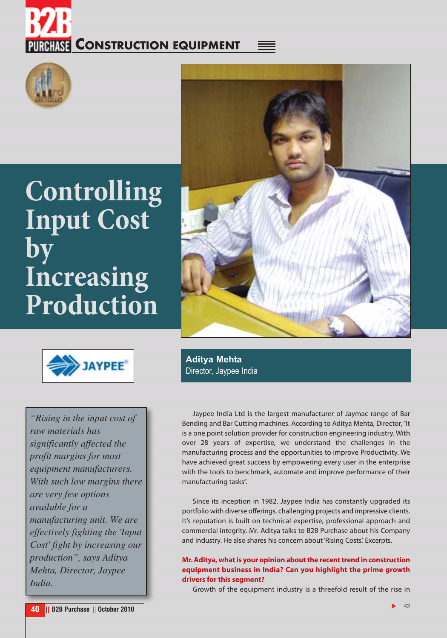# **RHISE CONSTRUCTION EQUIPMENT**



### **Controlling Input Cost by Increasing Production**





**Aditya Mehta** Director, Jaypee India

*"Rising in the input cost of raw materials has significantly affected the profit margins for most equipment manufacturers. With such low margins there are very few options available for a manufacturing unit. We are effectively fighting the 'Input Cost' fight by increasing our production", says Aditya Mehta, Director, Jaypee India.*

Jaypee India Ltd is the largest manufacturer of Jaymac range of Bar Bending and Bar Cutting machines. According to Aditya Mehta, Director, "It is a one point solution provider for construction engineering industry. With over 28 years of expertise, we understand the challenges in the manufacturing process and the opportunities to improve Productivity. We have achieved great success by empowering every user in the enterprise with the tools to benchmark, automate and improve performance of their manufacturing tasks".

Since its inception in 1982, Jaypee India has constantly upgraded its portfolio with diverse offerings, challenging projects and impressive clients. It's reputation is built on technical expertise, professional approach and commercial integrity. Mr. Aditya talks to B2B Purchase about his Company and industry. He also shares his concern about 'Rising Costs'. Excerpts.

#### **Mr. Aditya, what is your opinion about the recent trend in construction equipment business in India? Can you highlight the prime growth drivers for this segment?**

Growth of the equipment industry is a threefold result of the rise in